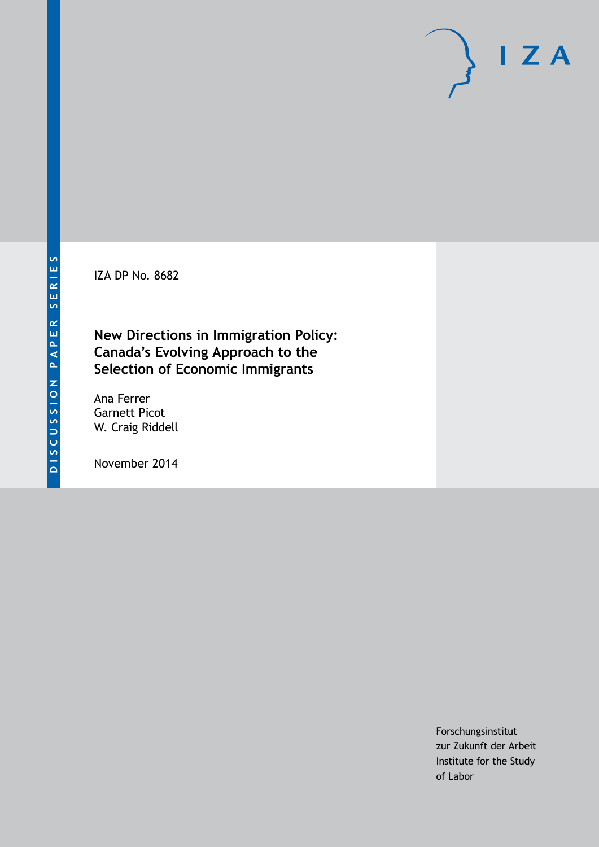IZA DP No. 8682

**New Directions in Immigration Policy: Canada's Evolving Approach to the Selection of Economic Immigrants**

Ana Ferrer Garnett Picot W. Craig Riddell

November 2014

Forschungsinstitut zur Zukunft der Arbeit Institute for the Study of Labor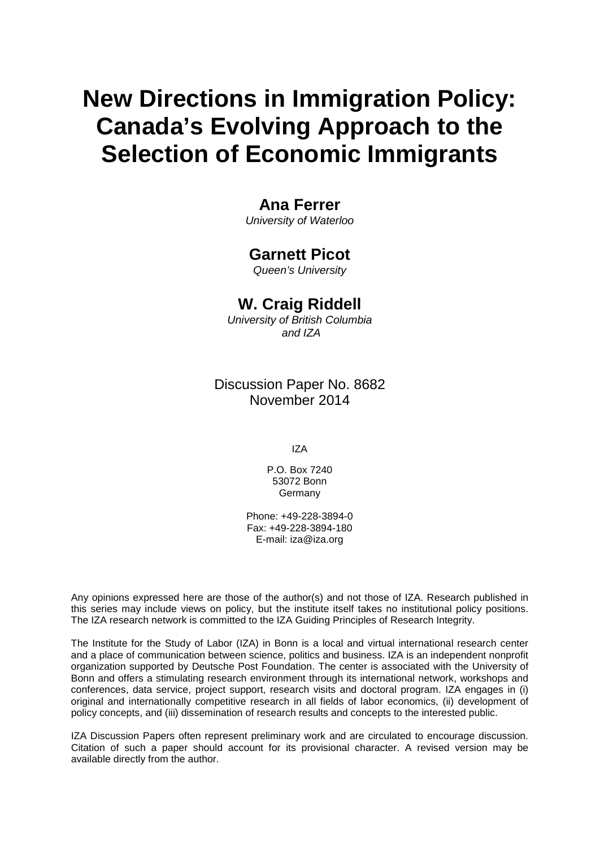# **New Directions in Immigration Policy: Canada's Evolving Approach to the Selection of Economic Immigrants**

## **Ana Ferrer**

*University of Waterloo*

### **Garnett Picot**

*Queen's University*

## **W. Craig Riddell**

*University of British Columbia and IZA*

Discussion Paper No. 8682 November 2014

IZA

P.O. Box 7240 53072 Bonn Germany

Phone: +49-228-3894-0 Fax: +49-228-3894-180 E-mail: [iza@iza.org](mailto:iza@iza.org)

Any opinions expressed here are those of the author(s) and not those of IZA. Research published in this series may include views on policy, but the institute itself takes no institutional policy positions. The IZA research network is committed to the IZA Guiding Principles of Research Integrity.

The Institute for the Study of Labor (IZA) in Bonn is a local and virtual international research center and a place of communication between science, politics and business. IZA is an independent nonprofit organization supported by Deutsche Post Foundation. The center is associated with the University of Bonn and offers a stimulating research environment through its international network, workshops and conferences, data service, project support, research visits and doctoral program. IZA engages in (i) original and internationally competitive research in all fields of labor economics, (ii) development of policy concepts, and (iii) dissemination of research results and concepts to the interested public.

<span id="page-1-0"></span>IZA Discussion Papers often represent preliminary work and are circulated to encourage discussion. Citation of such a paper should account for its provisional character. A revised version may be available directly from the author.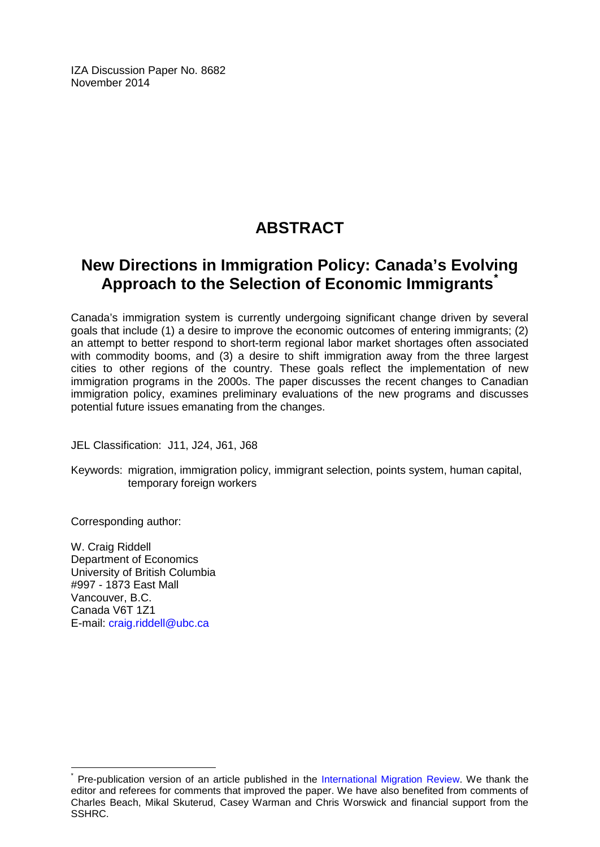IZA Discussion Paper No. 8682 November 2014

# **ABSTRACT**

# **New Directions in Immigration Policy: Canada's Evolving Approach to the Selection of Economic Immigrants[\\*](#page-1-0)**

Canada's immigration system is currently undergoing significant change driven by several goals that include (1) a desire to improve the economic outcomes of entering immigrants; (2) an attempt to better respond to short-term regional labor market shortages often associated with commodity booms, and (3) a desire to shift immigration away from the three largest cities to other regions of the country. These goals reflect the implementation of new immigration programs in the 2000s. The paper discusses the recent changes to Canadian immigration policy, examines preliminary evaluations of the new programs and discusses potential future issues emanating from the changes.

JEL Classification: J11, J24, J61, J68

Keywords: migration, immigration policy, immigrant selection, points system, human capital, temporary foreign workers

Corresponding author:

W. Craig Riddell Department of Economics University of British Columbia #997 - 1873 East Mall Vancouver, B.C. Canada V6T 1Z1 E-mail: [craig.riddell@ubc.ca](mailto:craig.riddell@ubc.ca)

Pre-publication version of an article published in the [International Migration Review.](http://onlinelibrary.wiley.com/doi/10.1111/imre.12121/abstract) We thank the editor and referees for comments that improved the paper. We have also benefited from comments of Charles Beach, Mikal Skuterud, Casey Warman and Chris Worswick and financial support from the SSHRC.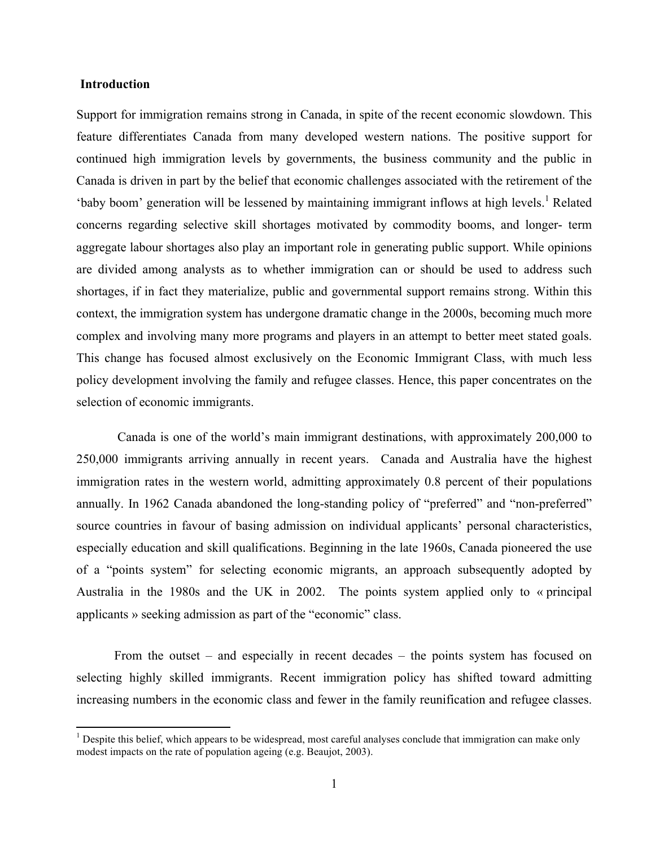#### **Introduction**

!!!!!!!!!!!!!!!!!!!!!!!!!!!!!!!!!!!!!!!!!!!!!!!!!!!!!!!!!!!!

Support for immigration remains strong in Canada, in spite of the recent economic slowdown. This feature differentiates Canada from many developed western nations. The positive support for continued high immigration levels by governments, the business community and the public in Canada is driven in part by the belief that economic challenges associated with the retirement of the 'baby boom' generation will be lessened by maintaining immigrant inflows at high levels.<sup>1</sup> Related concerns regarding selective skill shortages motivated by commodity booms, and longer- term aggregate labour shortages also play an important role in generating public support. While opinions are divided among analysts as to whether immigration can or should be used to address such shortages, if in fact they materialize, public and governmental support remains strong. Within this context, the immigration system has undergone dramatic change in the 2000s, becoming much more complex and involving many more programs and players in an attempt to better meet stated goals. This change has focused almost exclusively on the Economic Immigrant Class, with much less policy development involving the family and refugee classes. Hence, this paper concentrates on the selection of economic immigrants.

Canada is one of the world's main immigrant destinations, with approximately 200,000 to 250,000 immigrants arriving annually in recent years. Canada and Australia have the highest immigration rates in the western world, admitting approximately 0.8 percent of their populations annually. In 1962 Canada abandoned the long-standing policy of "preferred" and "non-preferred" source countries in favour of basing admission on individual applicants' personal characteristics, especially education and skill qualifications. Beginning in the late 1960s, Canada pioneered the use of a "points system" for selecting economic migrants, an approach subsequently adopted by Australia in the 1980s and the UK in 2002. The points system applied only to « principal applicants » seeking admission as part of the "economic" class.

From the outset – and especially in recent decades – the points system has focused on selecting highly skilled immigrants. Recent immigration policy has shifted toward admitting increasing numbers in the economic class and fewer in the family reunification and refugee classes.

<sup>&</sup>lt;sup>1</sup> Despite this belief, which appears to be widespread, most careful analyses conclude that immigration can make only modest impacts on the rate of population ageing (e.g. Beaujot, 2003).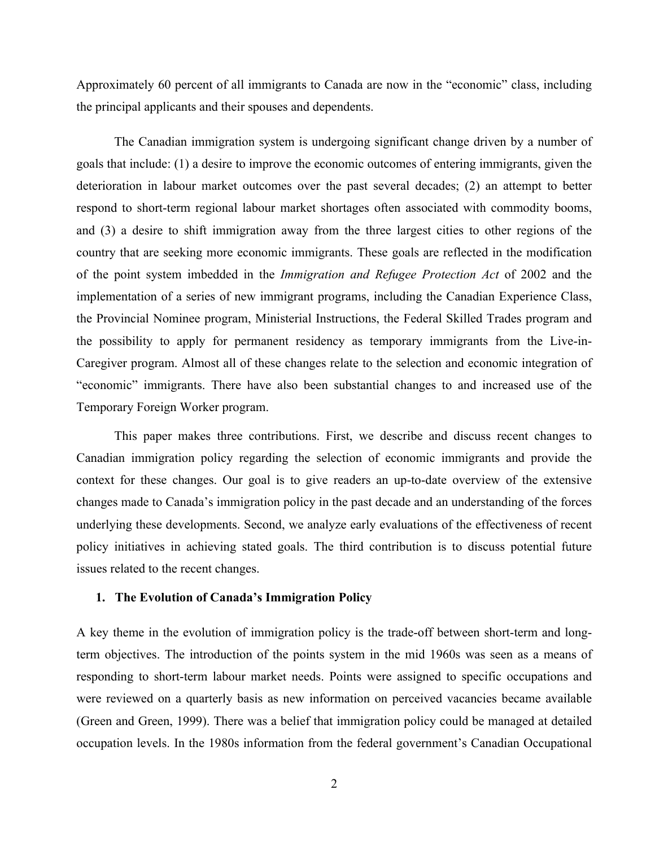Approximately 60 percent of all immigrants to Canada are now in the "economic" class, including the principal applicants and their spouses and dependents.

The Canadian immigration system is undergoing significant change driven by a number of goals that include: (1) a desire to improve the economic outcomes of entering immigrants, given the deterioration in labour market outcomes over the past several decades; (2) an attempt to better respond to short-term regional labour market shortages often associated with commodity booms, and (3) a desire to shift immigration away from the three largest cities to other regions of the country that are seeking more economic immigrants. These goals are reflected in the modification of the point system imbedded in the *Immigration and Refugee Protection Act* of 2002 and the implementation of a series of new immigrant programs, including the Canadian Experience Class, the Provincial Nominee program, Ministerial Instructions, the Federal Skilled Trades program and the possibility to apply for permanent residency as temporary immigrants from the Live-in-Caregiver program. Almost all of these changes relate to the selection and economic integration of "economic" immigrants. There have also been substantial changes to and increased use of the Temporary Foreign Worker program.

This paper makes three contributions. First, we describe and discuss recent changes to Canadian immigration policy regarding the selection of economic immigrants and provide the context for these changes. Our goal is to give readers an up-to-date overview of the extensive changes made to Canada's immigration policy in the past decade and an understanding of the forces underlying these developments. Second, we analyze early evaluations of the effectiveness of recent policy initiatives in achieving stated goals. The third contribution is to discuss potential future issues related to the recent changes.

#### **1. The Evolution of Canada's Immigration Policy**

A key theme in the evolution of immigration policy is the trade-off between short-term and longterm objectives. The introduction of the points system in the mid 1960s was seen as a means of responding to short-term labour market needs. Points were assigned to specific occupations and were reviewed on a quarterly basis as new information on perceived vacancies became available (Green and Green, 1999). There was a belief that immigration policy could be managed at detailed occupation levels. In the 1980s information from the federal government's Canadian Occupational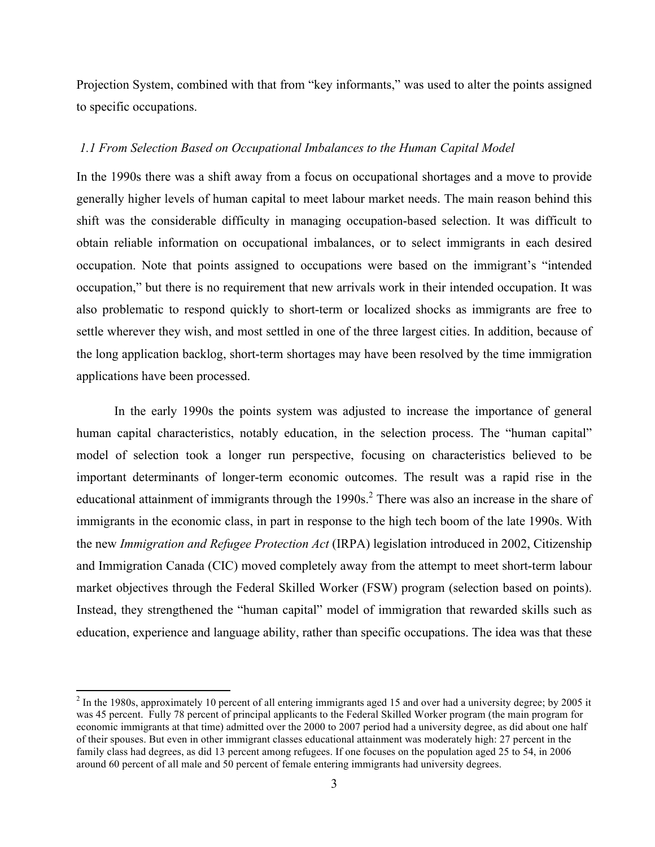Projection System, combined with that from "key informants," was used to alter the points assigned to specific occupations.

#### *1.1 From Selection Based on Occupational Imbalances to the Human Capital Model*

In the 1990s there was a shift away from a focus on occupational shortages and a move to provide generally higher levels of human capital to meet labour market needs. The main reason behind this shift was the considerable difficulty in managing occupation-based selection. It was difficult to obtain reliable information on occupational imbalances, or to select immigrants in each desired occupation. Note that points assigned to occupations were based on the immigrant's "intended occupation," but there is no requirement that new arrivals work in their intended occupation. It was also problematic to respond quickly to short-term or localized shocks as immigrants are free to settle wherever they wish, and most settled in one of the three largest cities. In addition, because of the long application backlog, short-term shortages may have been resolved by the time immigration applications have been processed.

In the early 1990s the points system was adjusted to increase the importance of general human capital characteristics, notably education, in the selection process. The "human capital" model of selection took a longer run perspective, focusing on characteristics believed to be important determinants of longer-term economic outcomes. The result was a rapid rise in the educational attainment of immigrants through the 1990s.<sup>2</sup> There was also an increase in the share of immigrants in the economic class, in part in response to the high tech boom of the late 1990s. With the new *Immigration and Refugee Protection Act* (IRPA) legislation introduced in 2002, Citizenship and Immigration Canada (CIC) moved completely away from the attempt to meet short-term labour market objectives through the Federal Skilled Worker (FSW) program (selection based on points). Instead, they strengthened the "human capital" model of immigration that rewarded skills such as education, experience and language ability, rather than specific occupations. The idea was that these

!!!!!!!!!!!!!!!!!!!!!!!!!!!!!!!!!!!!!!!!!!!!!!!!!!!!!!!!!!!!

 $^{2}$  In the 1980s, approximately 10 percent of all entering immigrants aged 15 and over had a university degree; by 2005 it was 45 percent. Fully 78 percent of principal applicants to the Federal Skilled Worker program (the main program for economic immigrants at that time) admitted over the 2000 to 2007 period had a university degree, as did about one half of their spouses. But even in other immigrant classes educational attainment was moderately high: 27 percent in the family class had degrees, as did 13 percent among refugees. If one focuses on the population aged 25 to 54, in 2006 around 60 percent of all male and 50 percent of female entering immigrants had university degrees.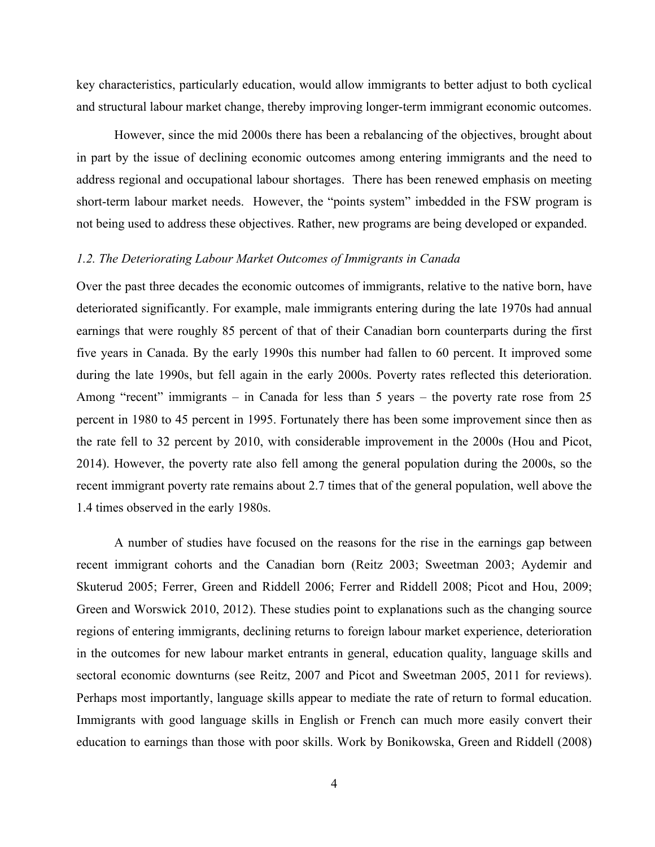key characteristics, particularly education, would allow immigrants to better adjust to both cyclical and structural labour market change, thereby improving longer-term immigrant economic outcomes.

However, since the mid 2000s there has been a rebalancing of the objectives, brought about in part by the issue of declining economic outcomes among entering immigrants and the need to address regional and occupational labour shortages. There has been renewed emphasis on meeting short-term labour market needs. However, the "points system" imbedded in the FSW program is not being used to address these objectives. Rather, new programs are being developed or expanded.

#### *1.2. The Deteriorating Labour Market Outcomes of Immigrants in Canada*

Over the past three decades the economic outcomes of immigrants, relative to the native born, have deteriorated significantly. For example, male immigrants entering during the late 1970s had annual earnings that were roughly 85 percent of that of their Canadian born counterparts during the first five years in Canada. By the early 1990s this number had fallen to 60 percent. It improved some during the late 1990s, but fell again in the early 2000s. Poverty rates reflected this deterioration. Among "recent" immigrants – in Canada for less than 5 years – the poverty rate rose from 25 percent in 1980 to 45 percent in 1995. Fortunately there has been some improvement since then as the rate fell to 32 percent by 2010, with considerable improvement in the 2000s (Hou and Picot, 2014). However, the poverty rate also fell among the general population during the 2000s, so the recent immigrant poverty rate remains about 2.7 times that of the general population, well above the 1.4 times observed in the early 1980s.

A number of studies have focused on the reasons for the rise in the earnings gap between recent immigrant cohorts and the Canadian born (Reitz 2003; Sweetman 2003; Aydemir and Skuterud 2005; Ferrer, Green and Riddell 2006; Ferrer and Riddell 2008; Picot and Hou, 2009; Green and Worswick 2010, 2012). These studies point to explanations such as the changing source regions of entering immigrants, declining returns to foreign labour market experience, deterioration in the outcomes for new labour market entrants in general, education quality, language skills and sectoral economic downturns (see Reitz, 2007 and Picot and Sweetman 2005, 2011 for reviews). Perhaps most importantly, language skills appear to mediate the rate of return to formal education. Immigrants with good language skills in English or French can much more easily convert their education to earnings than those with poor skills. Work by Bonikowska, Green and Riddell (2008)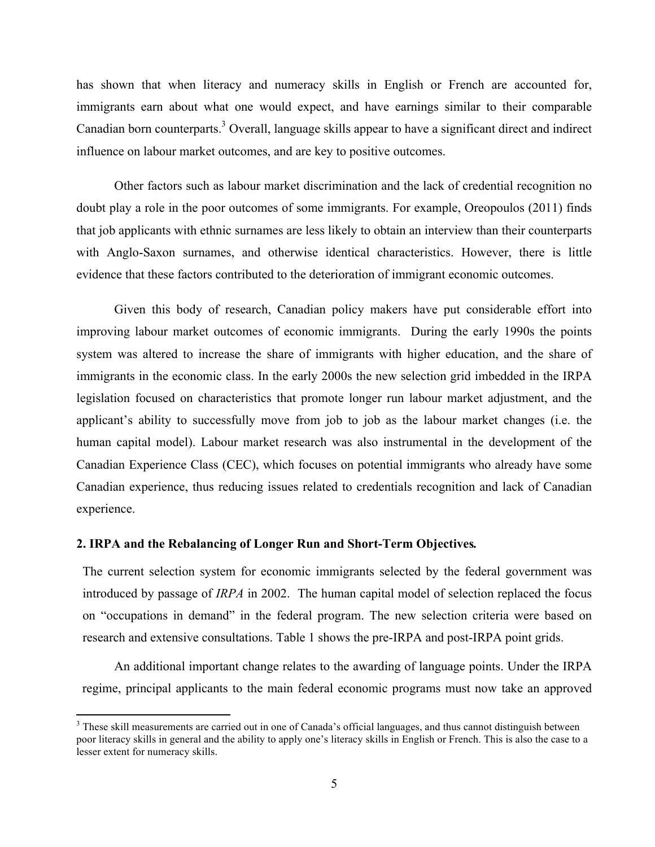has shown that when literacy and numeracy skills in English or French are accounted for, immigrants earn about what one would expect, and have earnings similar to their comparable Canadian born counterparts.<sup>3</sup> Overall, language skills appear to have a significant direct and indirect influence on labour market outcomes, and are key to positive outcomes.

 Other factors such as labour market discrimination and the lack of credential recognition no doubt play a role in the poor outcomes of some immigrants. For example, Oreopoulos (2011) finds that job applicants with ethnic surnames are less likely to obtain an interview than their counterparts with Anglo-Saxon surnames, and otherwise identical characteristics. However, there is little evidence that these factors contributed to the deterioration of immigrant economic outcomes.

Given this body of research, Canadian policy makers have put considerable effort into improving labour market outcomes of economic immigrants. During the early 1990s the points system was altered to increase the share of immigrants with higher education, and the share of immigrants in the economic class. In the early 2000s the new selection grid imbedded in the IRPA legislation focused on characteristics that promote longer run labour market adjustment, and the applicant's ability to successfully move from job to job as the labour market changes (i.e. the human capital model). Labour market research was also instrumental in the development of the Canadian Experience Class (CEC), which focuses on potential immigrants who already have some Canadian experience, thus reducing issues related to credentials recognition and lack of Canadian experience.

#### **2. IRPA and the Rebalancing of Longer Run and Short-Term Objectives***.*

!!!!!!!!!!!!!!!!!!!!!!!!!!!!!!!!!!!!!!!!!!!!!!!!!!!!!!!!!!!!

The current selection system for economic immigrants selected by the federal government was introduced by passage of *IRPA* in 2002. The human capital model of selection replaced the focus on "occupations in demand" in the federal program. The new selection criteria were based on research and extensive consultations. Table 1 shows the pre-IRPA and post-IRPA point grids.

An additional important change relates to the awarding of language points. Under the IRPA regime, principal applicants to the main federal economic programs must now take an approved

<sup>&</sup>lt;sup>3</sup> These skill measurements are carried out in one of Canada's official languages, and thus cannot distinguish between poor literacy skills in general and the ability to apply one's literacy skills in English or French. This is also the case to a lesser extent for numeracy skills.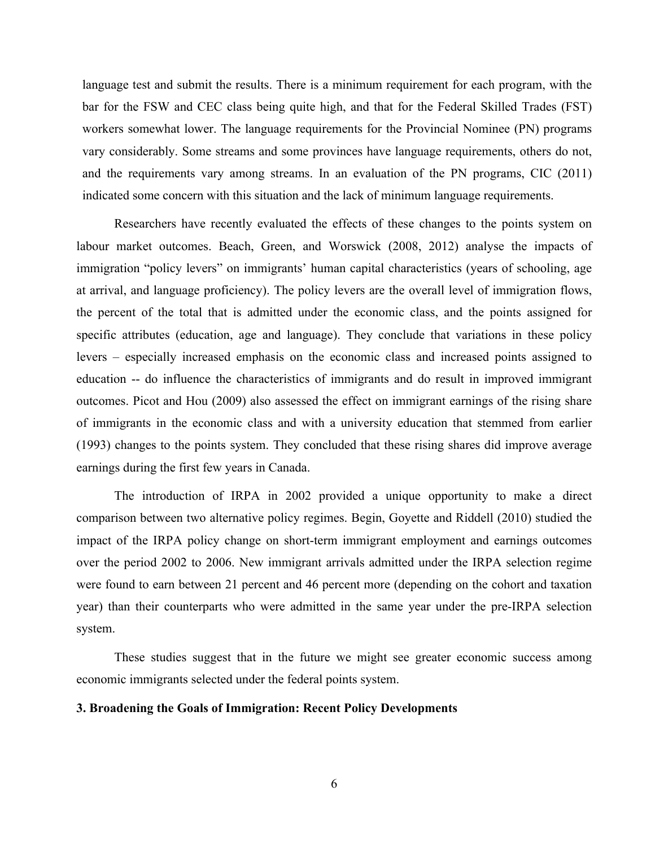language test and submit the results. There is a minimum requirement for each program, with the bar for the FSW and CEC class being quite high, and that for the Federal Skilled Trades (FST) workers somewhat lower. The language requirements for the Provincial Nominee (PN) programs vary considerably. Some streams and some provinces have language requirements, others do not, and the requirements vary among streams. In an evaluation of the PN programs, CIC (2011) indicated some concern with this situation and the lack of minimum language requirements.

Researchers have recently evaluated the effects of these changes to the points system on labour market outcomes. Beach, Green, and Worswick (2008, 2012) analyse the impacts of immigration "policy levers" on immigrants' human capital characteristics (years of schooling, age at arrival, and language proficiency). The policy levers are the overall level of immigration flows, the percent of the total that is admitted under the economic class, and the points assigned for specific attributes (education, age and language). They conclude that variations in these policy levers – especially increased emphasis on the economic class and increased points assigned to education -- do influence the characteristics of immigrants and do result in improved immigrant outcomes. Picot and Hou (2009) also assessed the effect on immigrant earnings of the rising share of immigrants in the economic class and with a university education that stemmed from earlier (1993) changes to the points system. They concluded that these rising shares did improve average earnings during the first few years in Canada.

The introduction of IRPA in 2002 provided a unique opportunity to make a direct comparison between two alternative policy regimes. Begin, Goyette and Riddell (2010) studied the impact of the IRPA policy change on short-term immigrant employment and earnings outcomes over the period 2002 to 2006. New immigrant arrivals admitted under the IRPA selection regime were found to earn between 21 percent and 46 percent more (depending on the cohort and taxation year) than their counterparts who were admitted in the same year under the pre-IRPA selection system.

These studies suggest that in the future we might see greater economic success among economic immigrants selected under the federal points system.

#### **3. Broadening the Goals of Immigration: Recent Policy Developments**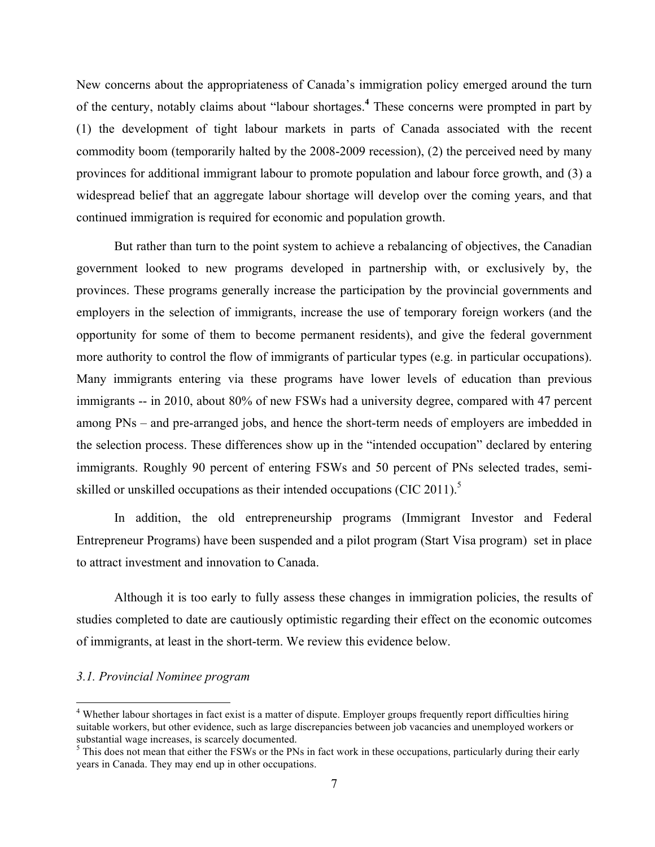New concerns about the appropriateness of Canada's immigration policy emerged around the turn of the century, notably claims about "labour shortages.**<sup>4</sup>** These concerns were prompted in part by (1) the development of tight labour markets in parts of Canada associated with the recent commodity boom (temporarily halted by the 2008-2009 recession), (2) the perceived need by many provinces for additional immigrant labour to promote population and labour force growth, and (3) a widespread belief that an aggregate labour shortage will develop over the coming years, and that continued immigration is required for economic and population growth.

But rather than turn to the point system to achieve a rebalancing of objectives, the Canadian government looked to new programs developed in partnership with, or exclusively by, the provinces. These programs generally increase the participation by the provincial governments and employers in the selection of immigrants, increase the use of temporary foreign workers (and the opportunity for some of them to become permanent residents), and give the federal government more authority to control the flow of immigrants of particular types (e.g. in particular occupations). Many immigrants entering via these programs have lower levels of education than previous immigrants -- in 2010, about 80% of new FSWs had a university degree, compared with 47 percent among PNs – and pre-arranged jobs, and hence the short-term needs of employers are imbedded in the selection process. These differences show up in the "intended occupation" declared by entering immigrants. Roughly 90 percent of entering FSWs and 50 percent of PNs selected trades, semiskilled or unskilled occupations as their intended occupations (CIC 2011).<sup>5</sup>

In addition, the old entrepreneurship programs (Immigrant Investor and Federal Entrepreneur Programs) have been suspended and a pilot program (Start Visa program) set in place to attract investment and innovation to Canada.

Although it is too early to fully assess these changes in immigration policies, the results of studies completed to date are cautiously optimistic regarding their effect on the economic outcomes of immigrants, at least in the short-term. We review this evidence below.

#### *3.1. Provincial Nominee program*

!!!!!!!!!!!!!!!!!!!!!!!!!!!!!!!!!!!!!!!!!!!!!!!!!!!!!!!!!!!!

<sup>&</sup>lt;sup>4</sup> Whether labour shortages in fact exist is a matter of dispute. Employer groups frequently report difficulties hiring suitable workers, but other evidence, such as large discrepancies between job vacancies and unemployed workers or substantial wage increases, is scarcely documented.<br><sup>5</sup> This does not mean that either the FSWs or the PNs in fact work in these occupations, particularly during their early

years in Canada. They may end up in other occupations.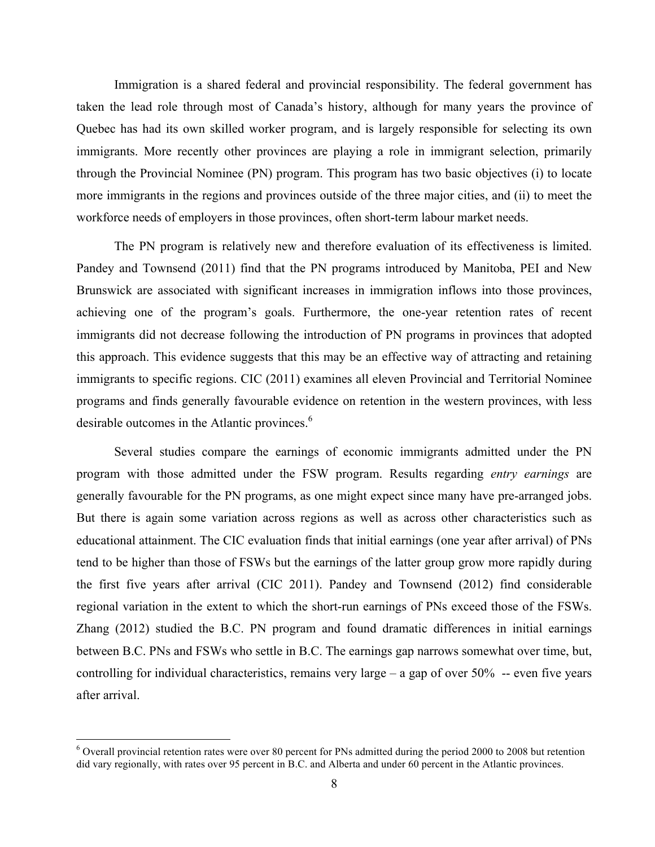Immigration is a shared federal and provincial responsibility. The federal government has taken the lead role through most of Canada's history, although for many years the province of Quebec has had its own skilled worker program, and is largely responsible for selecting its own immigrants. More recently other provinces are playing a role in immigrant selection, primarily through the Provincial Nominee (PN) program. This program has two basic objectives (i) to locate more immigrants in the regions and provinces outside of the three major cities, and (ii) to meet the workforce needs of employers in those provinces, often short-term labour market needs.

The PN program is relatively new and therefore evaluation of its effectiveness is limited. Pandey and Townsend (2011) find that the PN programs introduced by Manitoba, PEI and New Brunswick are associated with significant increases in immigration inflows into those provinces, achieving one of the program's goals. Furthermore, the one-year retention rates of recent immigrants did not decrease following the introduction of PN programs in provinces that adopted this approach. This evidence suggests that this may be an effective way of attracting and retaining immigrants to specific regions. CIC (2011) examines all eleven Provincial and Territorial Nominee programs and finds generally favourable evidence on retention in the western provinces, with less desirable outcomes in the Atlantic provinces. 6

Several studies compare the earnings of economic immigrants admitted under the PN program with those admitted under the FSW program. Results regarding *entry earnings* are generally favourable for the PN programs, as one might expect since many have pre-arranged jobs. But there is again some variation across regions as well as across other characteristics such as educational attainment. The CIC evaluation finds that initial earnings (one year after arrival) of PNs tend to be higher than those of FSWs but the earnings of the latter group grow more rapidly during the first five years after arrival (CIC 2011). Pandey and Townsend (2012) find considerable regional variation in the extent to which the short-run earnings of PNs exceed those of the FSWs. Zhang (2012) studied the B.C. PN program and found dramatic differences in initial earnings between B.C. PNs and FSWs who settle in B.C. The earnings gap narrows somewhat over time, but, controlling for individual characteristics, remains very large – a gap of over 50% -- even five years after arrival.

!!!!!!!!!!!!!!!!!!!!!!!!!!!!!!!!!!!!!!!!!!!!!!!!!!!!!!!!!!!!

 $6$  Overall provincial retention rates were over 80 percent for PNs admitted during the period 2000 to 2008 but retention did vary regionally, with rates over 95 percent in B.C. and Alberta and under 60 percent in the Atlantic provinces.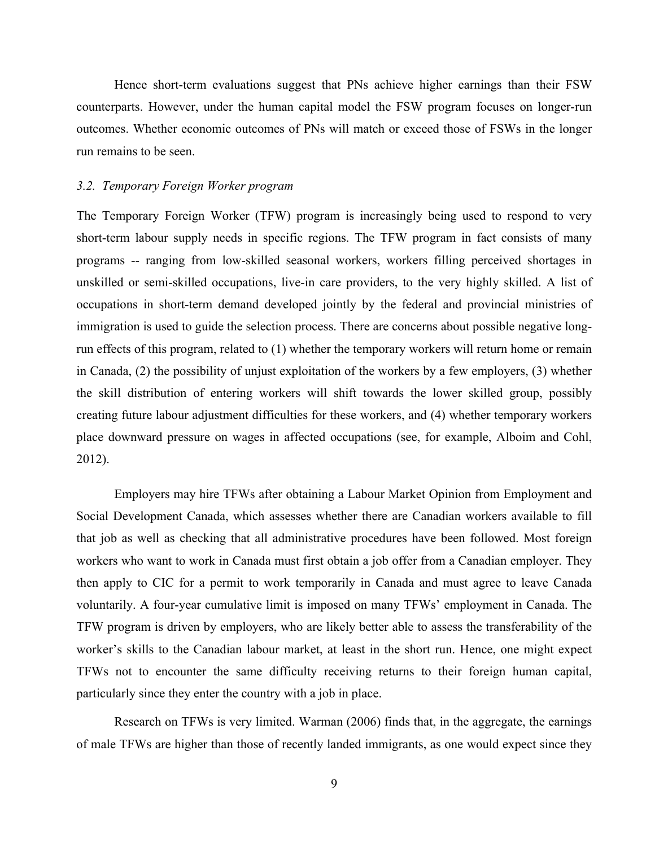Hence short-term evaluations suggest that PNs achieve higher earnings than their FSW counterparts. However, under the human capital model the FSW program focuses on longer-run outcomes. Whether economic outcomes of PNs will match or exceed those of FSWs in the longer run remains to be seen.

#### *3.2. Temporary Foreign Worker program*

The Temporary Foreign Worker (TFW) program is increasingly being used to respond to very short-term labour supply needs in specific regions. The TFW program in fact consists of many programs -- ranging from low-skilled seasonal workers, workers filling perceived shortages in unskilled or semi-skilled occupations, live-in care providers, to the very highly skilled. A list of occupations in short-term demand developed jointly by the federal and provincial ministries of immigration is used to guide the selection process. There are concerns about possible negative longrun effects of this program, related to (1) whether the temporary workers will return home or remain in Canada, (2) the possibility of unjust exploitation of the workers by a few employers, (3) whether the skill distribution of entering workers will shift towards the lower skilled group, possibly creating future labour adjustment difficulties for these workers, and (4) whether temporary workers place downward pressure on wages in affected occupations (see, for example, Alboim and Cohl, 2012).

Employers may hire TFWs after obtaining a Labour Market Opinion from Employment and Social Development Canada, which assesses whether there are Canadian workers available to fill that job as well as checking that all administrative procedures have been followed. Most foreign workers who want to work in Canada must first obtain a job offer from a Canadian employer. They then apply to CIC for a permit to work temporarily in Canada and must agree to leave Canada voluntarily. A four-year cumulative limit is imposed on many TFWs' employment in Canada. The TFW program is driven by employers, who are likely better able to assess the transferability of the worker's skills to the Canadian labour market, at least in the short run. Hence, one might expect TFWs not to encounter the same difficulty receiving returns to their foreign human capital, particularly since they enter the country with a job in place.

Research on TFWs is very limited. Warman (2006) finds that, in the aggregate, the earnings of male TFWs are higher than those of recently landed immigrants, as one would expect since they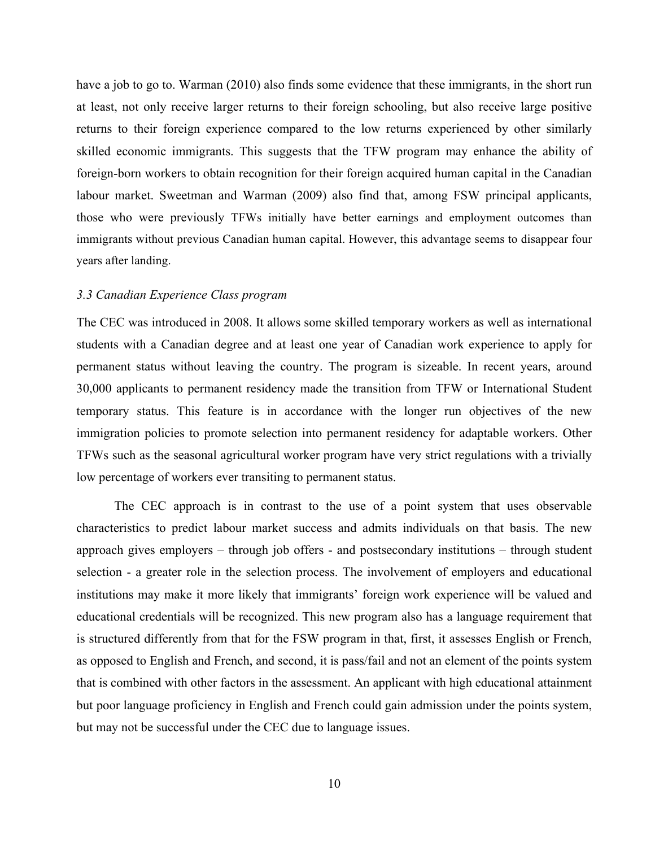have a job to go to. Warman (2010) also finds some evidence that these immigrants, in the short run at least, not only receive larger returns to their foreign schooling, but also receive large positive returns to their foreign experience compared to the low returns experienced by other similarly skilled economic immigrants. This suggests that the TFW program may enhance the ability of foreign-born workers to obtain recognition for their foreign acquired human capital in the Canadian labour market. Sweetman and Warman (2009) also find that, among FSW principal applicants, those who were previously TFWs initially have better earnings and employment outcomes than immigrants without previous Canadian human capital. However, this advantage seems to disappear four years after landing.

#### *3.3 Canadian Experience Class program*

The CEC was introduced in 2008. It allows some skilled temporary workers as well as international students with a Canadian degree and at least one year of Canadian work experience to apply for permanent status without leaving the country. The program is sizeable. In recent years, around 30,000 applicants to permanent residency made the transition from TFW or International Student temporary status. This feature is in accordance with the longer run objectives of the new immigration policies to promote selection into permanent residency for adaptable workers. Other TFWs such as the seasonal agricultural worker program have very strict regulations with a trivially low percentage of workers ever transiting to permanent status.

The CEC approach is in contrast to the use of a point system that uses observable characteristics to predict labour market success and admits individuals on that basis. The new approach gives employers – through job offers - and postsecondary institutions – through student selection - a greater role in the selection process. The involvement of employers and educational institutions may make it more likely that immigrants' foreign work experience will be valued and educational credentials will be recognized. This new program also has a language requirement that is structured differently from that for the FSW program in that, first, it assesses English or French, as opposed to English and French, and second, it is pass/fail and not an element of the points system that is combined with other factors in the assessment. An applicant with high educational attainment but poor language proficiency in English and French could gain admission under the points system, but may not be successful under the CEC due to language issues.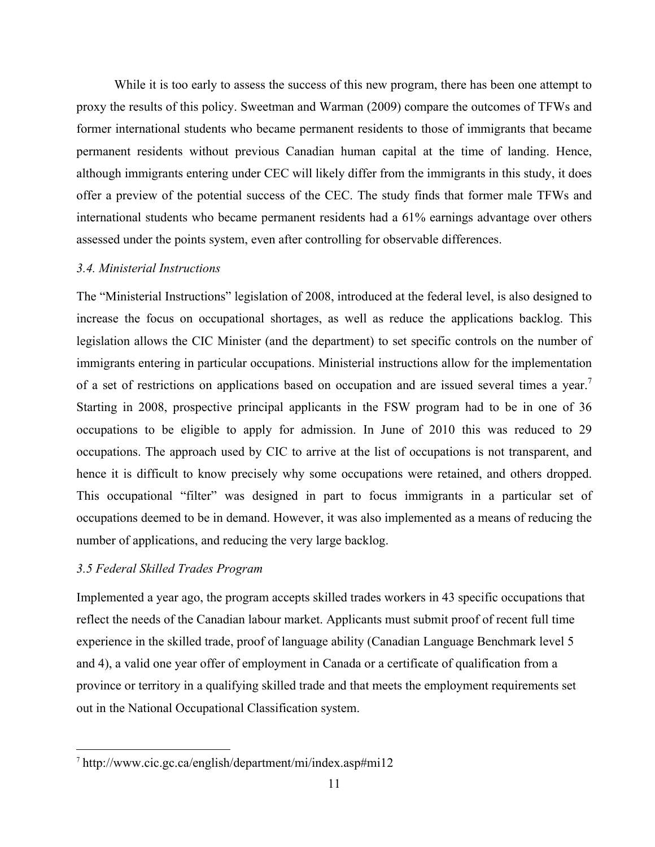While it is too early to assess the success of this new program, there has been one attempt to proxy the results of this policy. Sweetman and Warman (2009) compare the outcomes of TFWs and former international students who became permanent residents to those of immigrants that became permanent residents without previous Canadian human capital at the time of landing. Hence, although immigrants entering under CEC will likely differ from the immigrants in this study, it does offer a preview of the potential success of the CEC. The study finds that former male TFWs and international students who became permanent residents had a 61% earnings advantage over others assessed under the points system, even after controlling for observable differences.

#### *3.4. Ministerial Instructions*

The "Ministerial Instructions" legislation of 2008, introduced at the federal level, is also designed to increase the focus on occupational shortages, as well as reduce the applications backlog. This legislation allows the CIC Minister (and the department) to set specific controls on the number of immigrants entering in particular occupations. Ministerial instructions allow for the implementation of a set of restrictions on applications based on occupation and are issued several times a year. Starting in 2008, prospective principal applicants in the FSW program had to be in one of 36 occupations to be eligible to apply for admission. In June of 2010 this was reduced to 29 occupations. The approach used by CIC to arrive at the list of occupations is not transparent, and hence it is difficult to know precisely why some occupations were retained, and others dropped. This occupational "filter" was designed in part to focus immigrants in a particular set of occupations deemed to be in demand. However, it was also implemented as a means of reducing the number of applications, and reducing the very large backlog.

#### *3.5 Federal Skilled Trades Program*

!!!!!!!!!!!!!!!!!!!!!!!!!!!!!!!!!!!!!!!!!!!!!!!!!!!!!!!!!!!!

Implemented a year ago, the program accepts skilled trades workers in 43 specific occupations that reflect the needs of the Canadian labour market. Applicants must submit proof of recent full time experience in the skilled trade, proof of language ability (Canadian Language Benchmark level 5 and 4), a valid one year offer of employment in Canada or a certificate of qualification from a province or territory in a qualifying skilled trade and that meets the employment requirements set out in the National Occupational Classification system.

<sup>7</sup> http://www.cic.gc.ca/english/department/mi/index.asp#mi12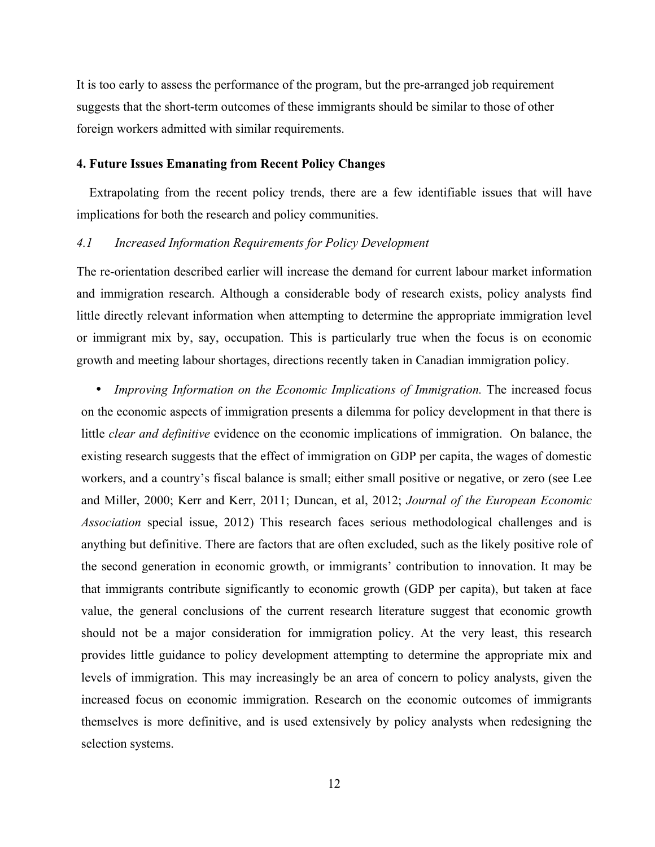It is too early to assess the performance of the program, but the pre-arranged job requirement suggests that the short-term outcomes of these immigrants should be similar to those of other foreign workers admitted with similar requirements.

#### **4. Future Issues Emanating from Recent Policy Changes**

 Extrapolating from the recent policy trends, there are a few identifiable issues that will have implications for both the research and policy communities.

#### *4.1 Increased Information Requirements for Policy Development*

The re-orientation described earlier will increase the demand for current labour market information and immigration research. Although a considerable body of research exists, policy analysts find little directly relevant information when attempting to determine the appropriate immigration level or immigrant mix by, say, occupation. This is particularly true when the focus is on economic growth and meeting labour shortages, directions recently taken in Canadian immigration policy.

• *Improving Information on the Economic Implications of Immigration.* The increased focus on the economic aspects of immigration presents a dilemma for policy development in that there is little *clear and definitive* evidence on the economic implications of immigration. On balance, the existing research suggests that the effect of immigration on GDP per capita, the wages of domestic workers, and a country's fiscal balance is small; either small positive or negative, or zero (see Lee and Miller, 2000; Kerr and Kerr, 2011; Duncan, et al, 2012; *Journal of the European Economic Association* special issue, 2012) This research faces serious methodological challenges and is anything but definitive. There are factors that are often excluded, such as the likely positive role of the second generation in economic growth, or immigrants' contribution to innovation. It may be that immigrants contribute significantly to economic growth (GDP per capita), but taken at face value, the general conclusions of the current research literature suggest that economic growth should not be a major consideration for immigration policy. At the very least, this research provides little guidance to policy development attempting to determine the appropriate mix and levels of immigration. This may increasingly be an area of concern to policy analysts, given the increased focus on economic immigration. Research on the economic outcomes of immigrants themselves is more definitive, and is used extensively by policy analysts when redesigning the selection systems.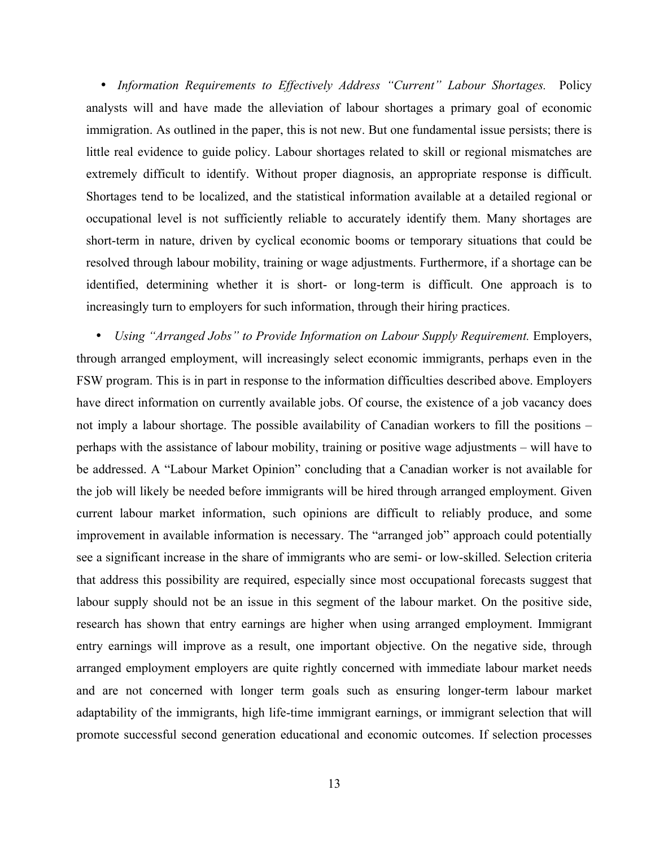• *Information Requirements to Effectively Address "Current" Labour Shortages.* Policy analysts will and have made the alleviation of labour shortages a primary goal of economic immigration. As outlined in the paper, this is not new. But one fundamental issue persists; there is little real evidence to guide policy. Labour shortages related to skill or regional mismatches are extremely difficult to identify. Without proper diagnosis, an appropriate response is difficult. Shortages tend to be localized, and the statistical information available at a detailed regional or occupational level is not sufficiently reliable to accurately identify them. Many shortages are short-term in nature, driven by cyclical economic booms or temporary situations that could be resolved through labour mobility, training or wage adjustments. Furthermore, if a shortage can be identified, determining whether it is short- or long-term is difficult. One approach is to increasingly turn to employers for such information, through their hiring practices.

• *Using "Arranged Jobs" to Provide Information on Labour Supply Requirement.* Employers, through arranged employment, will increasingly select economic immigrants, perhaps even in the FSW program. This is in part in response to the information difficulties described above. Employers have direct information on currently available jobs. Of course, the existence of a job vacancy does not imply a labour shortage. The possible availability of Canadian workers to fill the positions – perhaps with the assistance of labour mobility, training or positive wage adjustments – will have to be addressed. A "Labour Market Opinion" concluding that a Canadian worker is not available for the job will likely be needed before immigrants will be hired through arranged employment. Given current labour market information, such opinions are difficult to reliably produce, and some improvement in available information is necessary. The "arranged job" approach could potentially see a significant increase in the share of immigrants who are semi- or low-skilled. Selection criteria that address this possibility are required, especially since most occupational forecasts suggest that labour supply should not be an issue in this segment of the labour market. On the positive side, research has shown that entry earnings are higher when using arranged employment. Immigrant entry earnings will improve as a result, one important objective. On the negative side, through arranged employment employers are quite rightly concerned with immediate labour market needs and are not concerned with longer term goals such as ensuring longer-term labour market adaptability of the immigrants, high life-time immigrant earnings, or immigrant selection that will promote successful second generation educational and economic outcomes. If selection processes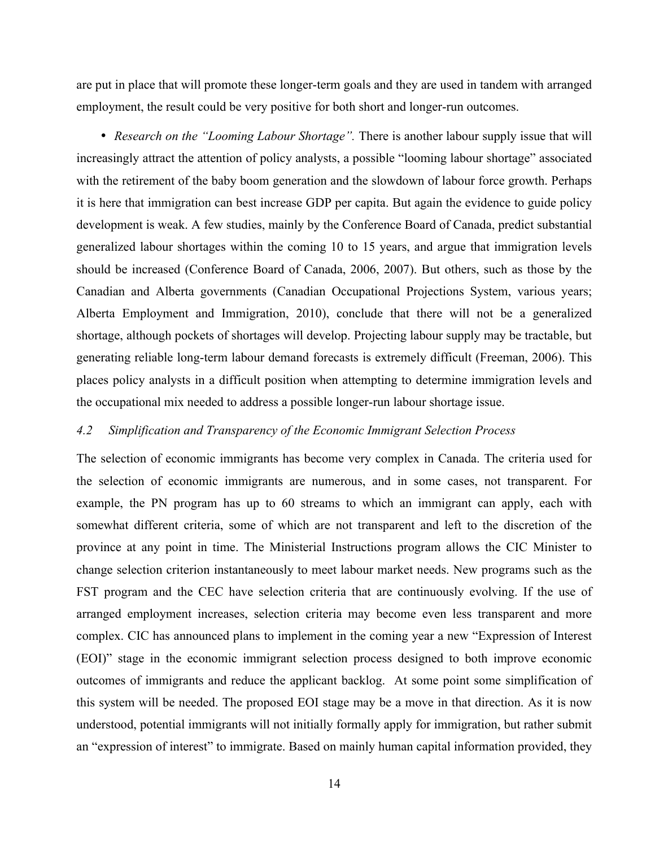are put in place that will promote these longer-term goals and they are used in tandem with arranged employment, the result could be very positive for both short and longer-run outcomes.

• *Research on the "Looming Labour Shortage"*. There is another labour supply issue that will increasingly attract the attention of policy analysts, a possible "looming labour shortage" associated with the retirement of the baby boom generation and the slowdown of labour force growth. Perhaps it is here that immigration can best increase GDP per capita. But again the evidence to guide policy development is weak. A few studies, mainly by the Conference Board of Canada, predict substantial generalized labour shortages within the coming 10 to 15 years, and argue that immigration levels should be increased (Conference Board of Canada, 2006, 2007). But others, such as those by the Canadian and Alberta governments (Canadian Occupational Projections System, various years; Alberta Employment and Immigration, 2010), conclude that there will not be a generalized shortage, although pockets of shortages will develop. Projecting labour supply may be tractable, but generating reliable long-term labour demand forecasts is extremely difficult (Freeman, 2006). This places policy analysts in a difficult position when attempting to determine immigration levels and the occupational mix needed to address a possible longer-run labour shortage issue.

#### *4.2 Simplification and Transparency of the Economic Immigrant Selection Process*

The selection of economic immigrants has become very complex in Canada. The criteria used for the selection of economic immigrants are numerous, and in some cases, not transparent. For example, the PN program has up to 60 streams to which an immigrant can apply, each with somewhat different criteria, some of which are not transparent and left to the discretion of the province at any point in time. The Ministerial Instructions program allows the CIC Minister to change selection criterion instantaneously to meet labour market needs. New programs such as the FST program and the CEC have selection criteria that are continuously evolving. If the use of arranged employment increases, selection criteria may become even less transparent and more complex. CIC has announced plans to implement in the coming year a new "Expression of Interest (EOI)" stage in the economic immigrant selection process designed to both improve economic outcomes of immigrants and reduce the applicant backlog. At some point some simplification of this system will be needed. The proposed EOI stage may be a move in that direction. As it is now understood, potential immigrants will not initially formally apply for immigration, but rather submit an "expression of interest" to immigrate. Based on mainly human capital information provided, they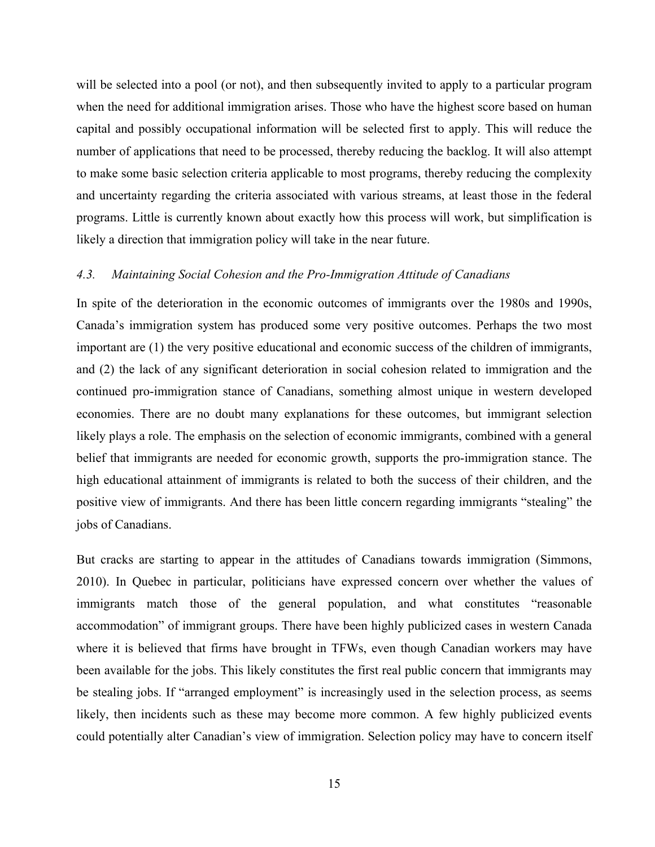will be selected into a pool (or not), and then subsequently invited to apply to a particular program when the need for additional immigration arises. Those who have the highest score based on human capital and possibly occupational information will be selected first to apply. This will reduce the number of applications that need to be processed, thereby reducing the backlog. It will also attempt to make some basic selection criteria applicable to most programs, thereby reducing the complexity and uncertainty regarding the criteria associated with various streams, at least those in the federal programs. Little is currently known about exactly how this process will work, but simplification is likely a direction that immigration policy will take in the near future.

#### *4.3. Maintaining Social Cohesion and the Pro-Immigration Attitude of Canadians*

In spite of the deterioration in the economic outcomes of immigrants over the 1980s and 1990s, Canada's immigration system has produced some very positive outcomes. Perhaps the two most important are (1) the very positive educational and economic success of the children of immigrants, and (2) the lack of any significant deterioration in social cohesion related to immigration and the continued pro-immigration stance of Canadians, something almost unique in western developed economies. There are no doubt many explanations for these outcomes, but immigrant selection likely plays a role. The emphasis on the selection of economic immigrants, combined with a general belief that immigrants are needed for economic growth, supports the pro-immigration stance. The high educational attainment of immigrants is related to both the success of their children, and the positive view of immigrants. And there has been little concern regarding immigrants "stealing" the jobs of Canadians.

But cracks are starting to appear in the attitudes of Canadians towards immigration (Simmons, 2010). In Quebec in particular, politicians have expressed concern over whether the values of immigrants match those of the general population, and what constitutes "reasonable accommodation" of immigrant groups. There have been highly publicized cases in western Canada where it is believed that firms have brought in TFWs, even though Canadian workers may have been available for the jobs. This likely constitutes the first real public concern that immigrants may be stealing jobs. If "arranged employment" is increasingly used in the selection process, as seems likely, then incidents such as these may become more common. A few highly publicized events could potentially alter Canadian's view of immigration. Selection policy may have to concern itself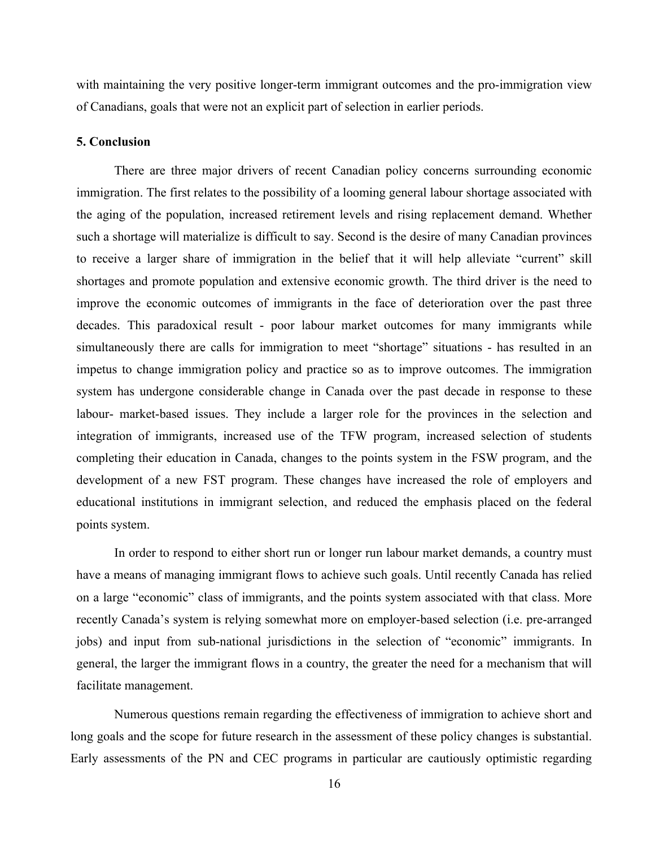with maintaining the very positive longer-term immigrant outcomes and the pro-immigration view of Canadians, goals that were not an explicit part of selection in earlier periods.

#### **5. Conclusion**

There are three major drivers of recent Canadian policy concerns surrounding economic immigration. The first relates to the possibility of a looming general labour shortage associated with the aging of the population, increased retirement levels and rising replacement demand. Whether such a shortage will materialize is difficult to say. Second is the desire of many Canadian provinces to receive a larger share of immigration in the belief that it will help alleviate "current" skill shortages and promote population and extensive economic growth. The third driver is the need to improve the economic outcomes of immigrants in the face of deterioration over the past three decades. This paradoxical result - poor labour market outcomes for many immigrants while simultaneously there are calls for immigration to meet "shortage" situations - has resulted in an impetus to change immigration policy and practice so as to improve outcomes. The immigration system has undergone considerable change in Canada over the past decade in response to these labour- market-based issues. They include a larger role for the provinces in the selection and integration of immigrants, increased use of the TFW program, increased selection of students completing their education in Canada, changes to the points system in the FSW program, and the development of a new FST program. These changes have increased the role of employers and educational institutions in immigrant selection, and reduced the emphasis placed on the federal points system.

In order to respond to either short run or longer run labour market demands, a country must have a means of managing immigrant flows to achieve such goals. Until recently Canada has relied on a large "economic" class of immigrants, and the points system associated with that class. More recently Canada's system is relying somewhat more on employer-based selection (i.e. pre-arranged jobs) and input from sub-national jurisdictions in the selection of "economic" immigrants. In general, the larger the immigrant flows in a country, the greater the need for a mechanism that will facilitate management.

Numerous questions remain regarding the effectiveness of immigration to achieve short and long goals and the scope for future research in the assessment of these policy changes is substantial. Early assessments of the PN and CEC programs in particular are cautiously optimistic regarding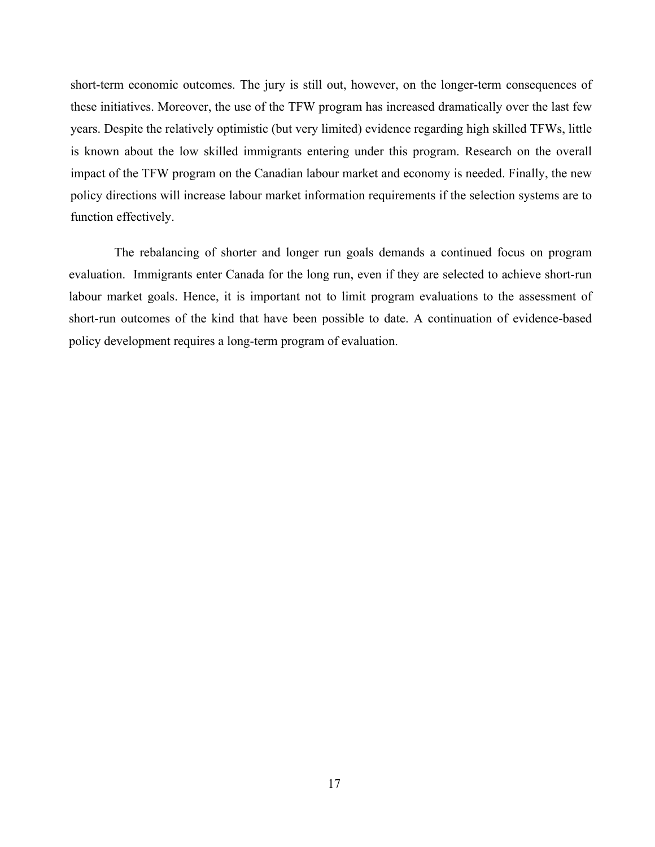short-term economic outcomes. The jury is still out, however, on the longer-term consequences of these initiatives. Moreover, the use of the TFW program has increased dramatically over the last few years. Despite the relatively optimistic (but very limited) evidence regarding high skilled TFWs, little is known about the low skilled immigrants entering under this program. Research on the overall impact of the TFW program on the Canadian labour market and economy is needed. Finally, the new policy directions will increase labour market information requirements if the selection systems are to function effectively.

The rebalancing of shorter and longer run goals demands a continued focus on program evaluation. Immigrants enter Canada for the long run, even if they are selected to achieve short-run labour market goals. Hence, it is important not to limit program evaluations to the assessment of short-run outcomes of the kind that have been possible to date. A continuation of evidence-based policy development requires a long-term program of evaluation.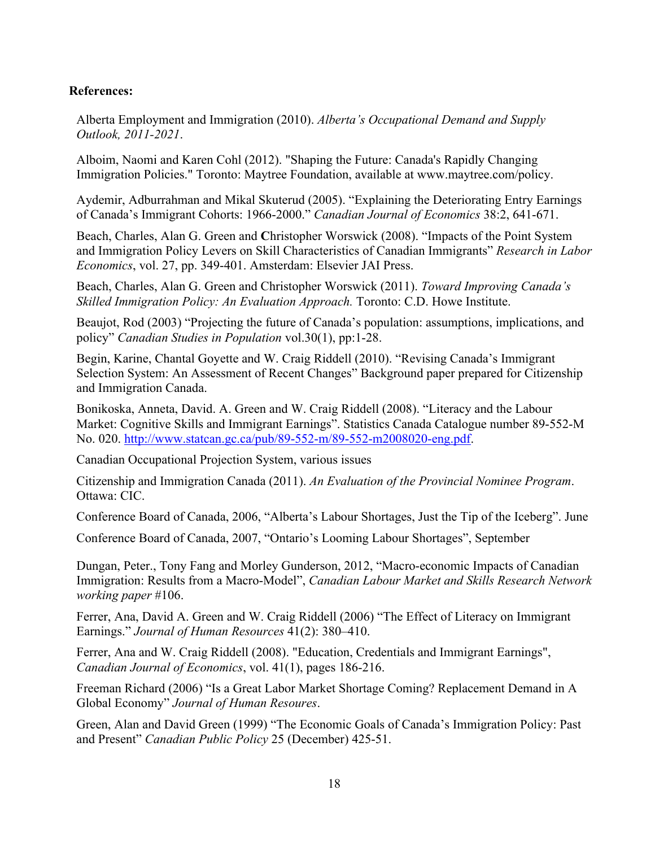#### **References:**

Alberta Employment and Immigration (2010). *Alberta's Occupational Demand and Supply Outlook, 2011-2021*.

Alboim, Naomi and Karen Cohl (2012). "Shaping the Future: Canada's Rapidly Changing Immigration Policies." Toronto: Maytree Foundation, available at www.maytree.com/policy.

Aydemir, Adburrahman and Mikal Skuterud (2005). "Explaining the Deteriorating Entry Earnings of Canada's Immigrant Cohorts: 1966-2000." *Canadian Journal of Economics* 38:2, 641-671.

Beach, Charles, Alan G. Green and **C**hristopher Worswick (2008). "Impacts of the Point System and Immigration Policy Levers on Skill Characteristics of Canadian Immigrants" *Research in Labor Economics*, vol. 27, pp. 349-401. Amsterdam: Elsevier JAI Press.

Beach, Charles, Alan G. Green and Christopher Worswick (2011). *Toward Improving Canada's Skilled Immigration Policy: An Evaluation Approach.* Toronto: C.D. Howe Institute.

Beaujot, Rod (2003) "Projecting the future of Canada's population: assumptions, implications, and policy" *Canadian Studies in Population* vol.30(1), pp:1-28.

Begin, Karine, Chantal Goyette and W. Craig Riddell (2010). "Revising Canada's Immigrant Selection System: An Assessment of Recent Changes" Background paper prepared for Citizenship and Immigration Canada.

Bonikoska, Anneta, David. A. Green and W. Craig Riddell (2008). "Literacy and the Labour Market: Cognitive Skills and Immigrant Earnings". Statistics Canada Catalogue number 89-552-M No. 020. http://www.statcan.gc.ca/pub/89-552-m/89-552-m2008020-eng.pdf.

Canadian Occupational Projection System, various issues

Citizenship and Immigration Canada (2011). *An Evaluation of the Provincial Nominee Program*. Ottawa: CIC.

Conference Board of Canada, 2006, "Alberta's Labour Shortages, Just the Tip of the Iceberg". June

Conference Board of Canada, 2007, "Ontario's Looming Labour Shortages", September

Dungan, Peter., Tony Fang and Morley Gunderson, 2012, "Macro-economic Impacts of Canadian Immigration: Results from a Macro-Model", *Canadian Labour Market and Skills Research Network working paper* #106.

Ferrer, Ana, David A. Green and W. Craig Riddell (2006) "The Effect of Literacy on Immigrant Earnings." *Journal of Human Resources* 41(2): 380–410.

Ferrer, Ana and W. Craig Riddell (2008). "Education, Credentials and Immigrant Earnings", *Canadian Journal of Economics*, vol. 41(1), pages 186-216.

Freeman Richard (2006) "Is a Great Labor Market Shortage Coming? Replacement Demand in A Global Economy" *Journal of Human Resoures*.

Green, Alan and David Green (1999) "The Economic Goals of Canada's Immigration Policy: Past and Present" *Canadian Public Policy* 25 (December) 425-51.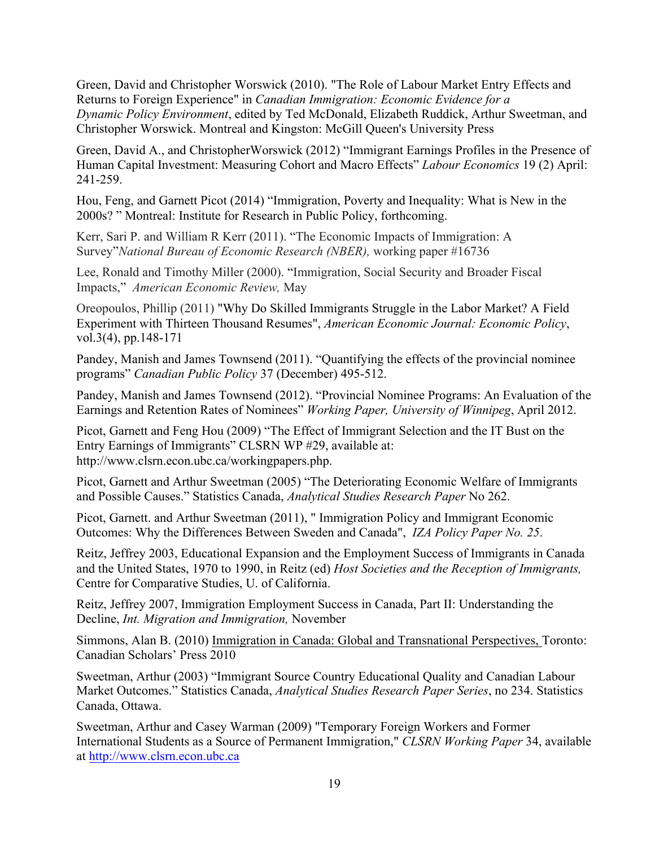Green, David and Christopher Worswick (2010). "The Role of Labour Market Entry Effects and Returns to Foreign Experience" in *Canadian Immigration: Economic Evidence for a Dynamic Policy Environment*, edited by Ted McDonald, Elizabeth Ruddick, Arthur Sweetman, and Christopher Worswick. Montreal and Kingston: McGill Queen's University Press

Green, David A., and ChristopherWorswick (2012) "Immigrant Earnings Profiles in the Presence of Human Capital Investment: Measuring Cohort and Macro Effects" *Labour Economics* 19 (2) April: 241-259.

Hou, Feng, and Garnett Picot (2014) "Immigration, Poverty and Inequality: What is New in the 2000s? " Montreal: Institute for Research in Public Policy, forthcoming.

Kerr, Sari P. and William R Kerr (2011). "The Economic Impacts of Immigration: A Survey"*National Bureau of Economic Research (NBER),* working paper #16736

Lee, Ronald and Timothy Miller (2000). "Immigration, Social Security and Broader Fiscal Impacts," *American Economic Review,* May

Oreopoulos, Phillip (2011) "Why Do Skilled Immigrants Struggle in the Labor Market? A Field Experiment with Thirteen Thousand Resumes", *American Economic Journal: Economic Policy*, vol.3(4), pp.148-171

Pandey, Manish and James Townsend (2011). "Quantifying the effects of the provincial nominee programs" *Canadian Public Policy* 37 (December) 495-512.

Pandey, Manish and James Townsend (2012). "Provincial Nominee Programs: An Evaluation of the Earnings and Retention Rates of Nominees" *Working Paper, University of Winnipeg*, April 2012.

Picot, Garnett and Feng Hou (2009) "The Effect of Immigrant Selection and the IT Bust on the Entry Earnings of Immigrants" CLSRN WP #29, available at: http://www.clsrn.econ.ubc.ca/workingpapers.php.

Picot, Garnett and Arthur Sweetman (2005) "The Deteriorating Economic Welfare of Immigrants and Possible Causes." Statistics Canada, *Analytical Studies Research Paper* No 262.

Picot, Garnett. and Arthur Sweetman (2011), " Immigration Policy and Immigrant Economic Outcomes: Why the Differences Between Sweden and Canada", *IZA Policy Paper No. 25*.

Reitz, Jeffrey 2003, Educational Expansion and the Employment Success of Immigrants in Canada and the United States, 1970 to 1990, in Reitz (ed) *Host Societies and the Reception of Immigrants,*  Centre for Comparative Studies, U. of California.

Reitz, Jeffrey 2007, Immigration Employment Success in Canada, Part II: Understanding the Decline, *Int. Migration and Immigration,* November

Simmons, Alan B. (2010) Immigration in Canada: Global and Transnational Perspectives, Toronto: Canadian Scholars' Press 2010

Sweetman, Arthur (2003) "Immigrant Source Country Educational Quality and Canadian Labour Market Outcomes." Statistics Canada, *Analytical Studies Research Paper Series*, no 234. Statistics Canada, Ottawa.

Sweetman, Arthur and Casey Warman (2009) "Temporary Foreign Workers and Former International Students as a Source of Permanent Immigration," *CLSRN Working Paper* 34, available at http://www.clsrn.econ.ubc.ca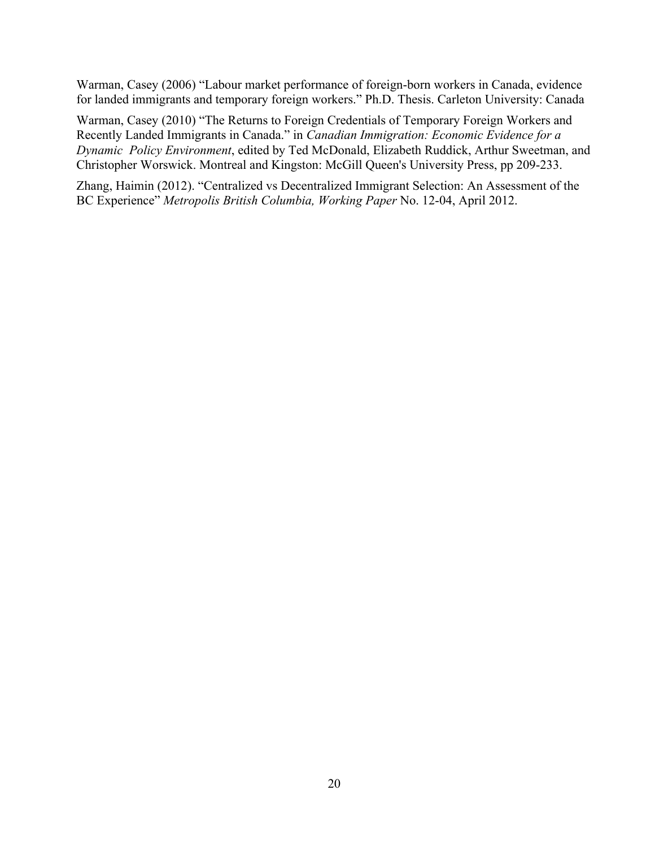Warman, Casey (2006) "Labour market performance of foreign-born workers in Canada, evidence for landed immigrants and temporary foreign workers." Ph.D. Thesis. Carleton University: Canada

Warman, Casey (2010) "The Returns to Foreign Credentials of Temporary Foreign Workers and Recently Landed Immigrants in Canada." in *Canadian Immigration: Economic Evidence for a Dynamic Policy Environment*, edited by Ted McDonald, Elizabeth Ruddick, Arthur Sweetman, and Christopher Worswick. Montreal and Kingston: McGill Queen's University Press, pp 209-233.

Zhang, Haimin (2012). "Centralized vs Decentralized Immigrant Selection: An Assessment of the BC Experience" *Metropolis British Columbia, Working Paper* No. 12-04, April 2012.